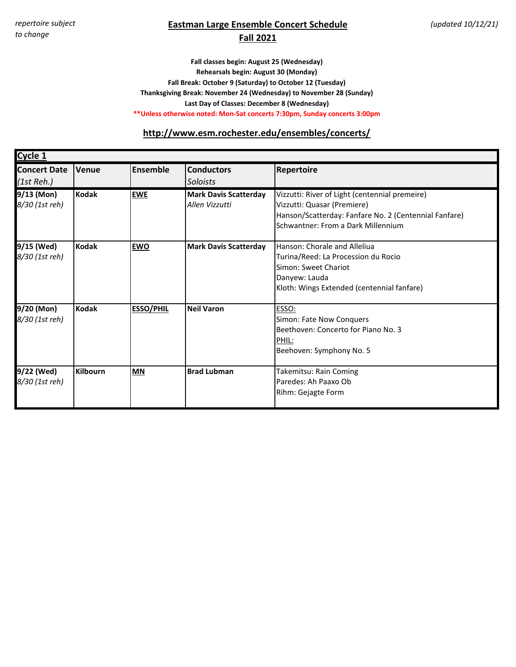# **Eastman Large Ensemble Concert Schedule**

#### **Fall 2021**

**Last Day of Classes: December 8 (Wednesday) Fall classes begin: August 25 (Wednesday) Rehearsals begin: August 30 (Monday) Fall Break: October 9 (Saturday) to October 12 (Tuesday) Thanksgiving Break: November 24 (Wednesday) to November 28 (Sunday) \*\*Unless otherwise noted: Mon-Sat concerts 7:30pm, Sunday concerts 3:00pm**

#### **[h](http://www.esm.rochester.edu/ensembles/concerts/)ttp://www.esm.rochester.edu/ensembles/concerts/**

| <b>Cycle 1</b>                    |                 |                  |                                                |                                                                                                                                                                              |
|-----------------------------------|-----------------|------------------|------------------------------------------------|------------------------------------------------------------------------------------------------------------------------------------------------------------------------------|
| <b>Concert Date</b><br>(1st Reh.) | Venue           | <b>Ensemble</b>  | <b>Conductors</b><br><b>Soloists</b>           | <b>Repertoire</b>                                                                                                                                                            |
| 9/13 (Mon)<br>8/30 (1st reh)      | <b>Kodak</b>    | <b>EWE</b>       | <b>Mark Davis Scatterday</b><br>Allen Vizzutti | Vizzutti: River of Light (centennial premeire)<br>Vizzutti: Quasar (Premiere)<br>Hanson/Scatterday: Fanfare No. 2 (Centennial Fanfare)<br>Schwantner: From a Dark Millennium |
| 9/15 (Wed)<br>8/30 (1st reh)      | <b>Kodak</b>    | <b>EWO</b>       | <b>Mark Davis Scatterday</b>                   | Hanson: Chorale and Alleliua<br>Turina/Reed: La Procession du Rocio<br>Simon: Sweet Chariot<br>Danyew: Lauda<br>Kloth: Wings Extended (centennial fanfare)                   |
| 9/20 (Mon)<br>8/30 (1st reh)      | <b>Kodak</b>    | <b>ESSO/PHIL</b> | <b>Neil Varon</b>                              | ESSO:<br>Simon: Fate Now Conquers<br>Beethoven: Concerto for Piano No. 3<br>PHIL:<br>Beehoven: Symphony No. 5                                                                |
| 9/22 (Wed)<br>8/30 (1st reh)      | <b>Kilbourn</b> | <b>MN</b>        | <b>Brad Lubman</b>                             | Takemitsu: Rain Coming<br>Paredes: Ah Paaxo Ob<br>Rihm: Gejagte Form                                                                                                         |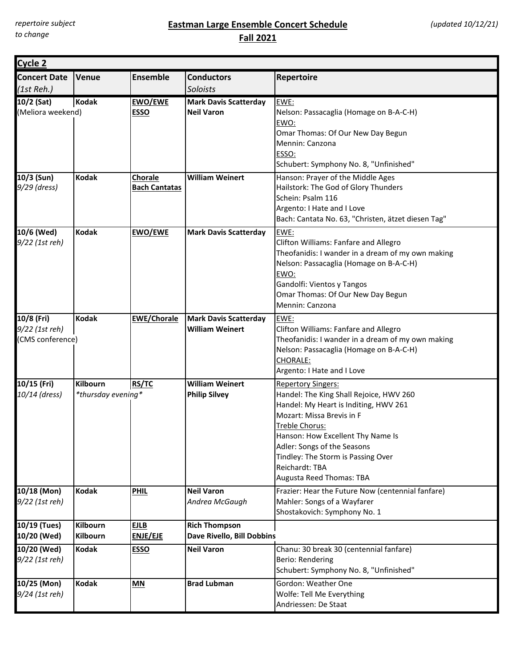*repertoire subject to change*

### **Eastman Large Ensemble Concert Schedule Fall 2021**

| Cycle 2                                          |                                |                                        |                                                        |                                                                                                                                                                                                                                                                                                                      |
|--------------------------------------------------|--------------------------------|----------------------------------------|--------------------------------------------------------|----------------------------------------------------------------------------------------------------------------------------------------------------------------------------------------------------------------------------------------------------------------------------------------------------------------------|
| <b>Concert Date</b><br>(1st Reh.)                | Venue                          | <b>Ensemble</b>                        | <b>Conductors</b><br>Soloists                          | Repertoire                                                                                                                                                                                                                                                                                                           |
| 10/2 (Sat)<br>(Meliora weekend)                  | Kodak                          | <b>EWO/EWE</b><br><b>ESSO</b>          | <b>Mark Davis Scatterday</b><br><b>Neil Varon</b>      | EWE:<br>Nelson: Passacaglia (Homage on B-A-C-H)<br>EWO:<br>Omar Thomas: Of Our New Day Begun<br>Mennin: Canzona<br>ESSO:<br>Schubert: Symphony No. 8, "Unfinished"                                                                                                                                                   |
| 10/3 (Sun)<br>9/29 (dress)                       | <b>Kodak</b>                   | <b>Chorale</b><br><b>Bach Cantatas</b> | <b>William Weinert</b>                                 | Hanson: Prayer of the Middle Ages<br>Hailstork: The God of Glory Thunders<br>Schein: Psalm 116<br>Argento: I Hate and I Love<br>Bach: Cantata No. 63, "Christen, ätzet diesen Tag"                                                                                                                                   |
| 10/6 (Wed)<br>9/22 (1st reh)                     | <b>Kodak</b>                   | <b>EWO/EWE</b>                         | <b>Mark Davis Scatterday</b>                           | EWE:<br>Clifton Williams: Fanfare and Allegro<br>Theofanidis: I wander in a dream of my own making<br>Nelson: Passacaglia (Homage on B-A-C-H)<br>EWO:<br>Gandolfi: Vientos y Tangos<br>Omar Thomas: Of Our New Day Begun<br>Mennin: Canzona                                                                          |
| 10/8 (Fri)<br>9/22 (1st reh)<br>(CMS conference) | <b>Kodak</b>                   | <b>EWE/Chorale</b>                     | <b>Mark Davis Scatterday</b><br><b>William Weinert</b> | EWE:<br>Clifton Williams: Fanfare and Allegro<br>Theofanidis: I wander in a dream of my own making<br>Nelson: Passacaglia (Homage on B-A-C-H)<br>CHORALE:<br>Argento: I Hate and I Love                                                                                                                              |
| 10/15 (Fri)<br>10/14 (dress)                     | Kilbourn<br>*thursday evening* | <b>RS/TC</b>                           | <b>William Weinert</b><br><b>Philip Silvey</b>         | <b>Repertory Singers:</b><br>Handel: The King Shall Rejoice, HWV 260<br>Handel: My Heart is Inditing, HWV 261<br>Mozart: Missa Brevis in F<br>Treble Chorus:<br>Hanson: How Excellent Thy Name Is<br>Adler: Songs of the Seasons<br>Tindley: The Storm is Passing Over<br>Reichardt: TBA<br>Augusta Reed Thomas: TBA |
| 10/18 (Mon)<br>9/22 (1st reh)                    | <b>Kodak</b>                   | <b>PHIL</b>                            | <b>Neil Varon</b><br>Andrea McGaugh                    | Frazier: Hear the Future Now (centennial fanfare)<br>Mahler: Songs of a Wayfarer<br>Shostakovich: Symphony No. 1                                                                                                                                                                                                     |
| 10/19 (Tues)<br>10/20 (Wed)                      | <b>Kilbourn</b><br>Kilbourn    | <b>EJLB</b><br><b>ENJE/EJE</b>         | <b>Rich Thompson</b><br>Dave Rivello, Bill Dobbins     |                                                                                                                                                                                                                                                                                                                      |
| 10/20 (Wed)<br>9/22 (1st reh)                    | <b>Kodak</b>                   | <b>ESSO</b>                            | <b>Neil Varon</b>                                      | Chanu: 30 break 30 (centennial fanfare)<br>Berio: Rendering<br>Schubert: Symphony No. 8, "Unfinished"                                                                                                                                                                                                                |
| 10/25 (Mon)<br>9/24 (1st reh)                    | <b>Kodak</b>                   | MN                                     | <b>Brad Lubman</b>                                     | Gordon: Weather One<br>Wolfe: Tell Me Everything<br>Andriessen: De Staat                                                                                                                                                                                                                                             |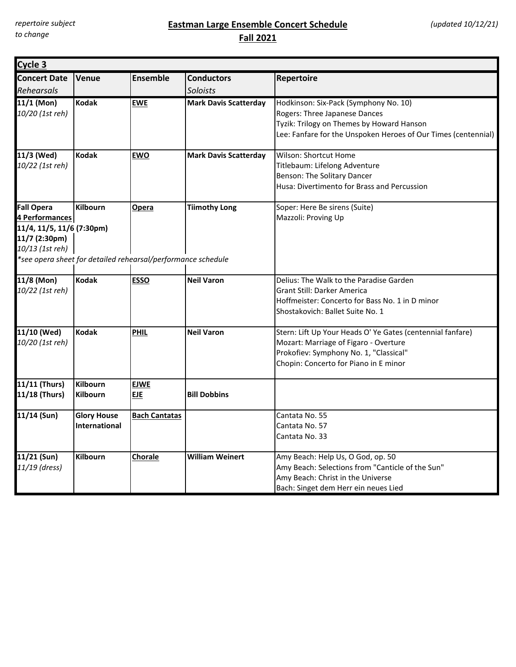## **Eastman Large Ensemble Concert Schedule Fall 2021**

| Cycle 3                                                                                                                                                              |                                            |                           |                               |                                                                                                                                                                                        |  |
|----------------------------------------------------------------------------------------------------------------------------------------------------------------------|--------------------------------------------|---------------------------|-------------------------------|----------------------------------------------------------------------------------------------------------------------------------------------------------------------------------------|--|
| <b>Concert Date</b><br>Rehearsals                                                                                                                                    | Venue                                      | <b>Ensemble</b>           | <b>Conductors</b><br>Soloists | Repertoire                                                                                                                                                                             |  |
| 11/1 (Mon)<br>10/20 (1st reh)                                                                                                                                        | <b>Kodak</b>                               | <b>EWE</b>                | <b>Mark Davis Scatterday</b>  | Hodkinson: Six-Pack (Symphony No. 10)<br>Rogers: Three Japanese Dances<br>Tyzik: Trilogy on Themes by Howard Hanson<br>Lee: Fanfare for the Unspoken Heroes of Our Times (centennial)  |  |
| 11/3 (Wed)<br>10/22 (1st reh)                                                                                                                                        | <b>Kodak</b>                               | <b>EWO</b>                | <b>Mark Davis Scatterday</b>  | Wilson: Shortcut Home<br>Titlebaum: Lifelong Adventure<br>Benson: The Solitary Dancer<br>Husa: Divertimento for Brass and Percussion                                                   |  |
| <b>Fall Opera</b><br>4 Performances<br>11/4, 11/5, 11/6 (7:30pm)<br>11/7 (2:30pm)<br>10/13 (1st reh)<br>*see opera sheet for detailed rehearsal/performance schedule | <b>Kilbourn</b>                            | Opera                     | <b>Tiimothy Long</b>          | Soper: Here Be sirens (Suite)<br>Mazzoli: Proving Up                                                                                                                                   |  |
| 11/8 (Mon)<br>10/22 (1st reh)                                                                                                                                        | <b>Kodak</b>                               | <b>ESSO</b>               | <b>Neil Varon</b>             | Delius: The Walk to the Paradise Garden<br><b>Grant Still: Darker America</b><br>Hoffmeister: Concerto for Bass No. 1 in D minor<br>Shostakovich: Ballet Suite No. 1                   |  |
| 11/10 (Wed)<br>10/20 (1st reh)                                                                                                                                       | <b>Kodak</b>                               | <b>PHIL</b>               | <b>Neil Varon</b>             | Stern: Lift Up Your Heads O' Ye Gates (centennial fanfare)<br>Mozart: Marriage of Figaro - Overture<br>Prokofiev: Symphony No. 1, "Classical"<br>Chopin: Concerto for Piano in E minor |  |
| 11/11 (Thurs)<br>11/18 (Thurs)                                                                                                                                       | <b>Kilbourn</b><br><b>Kilbourn</b>         | <b>EJWE</b><br><b>EJE</b> | <b>Bill Dobbins</b>           |                                                                                                                                                                                        |  |
| 11/14 (Sun)                                                                                                                                                          | <b>Glory House</b><br><b>International</b> | <b>Bach Cantatas</b>      |                               | Cantata No. 55<br>Cantata No. 57<br>Cantata No. 33                                                                                                                                     |  |
| 11/21 (Sun)<br>11/19 (dress)                                                                                                                                         | <b>Kilbourn</b>                            | <b>Chorale</b>            | <b>William Weinert</b>        | Amy Beach: Help Us, O God, op. 50<br>Amy Beach: Selections from "Canticle of the Sun"<br>Amy Beach: Christ in the Universe<br>Bach: Singet dem Herr ein neues Lied                     |  |